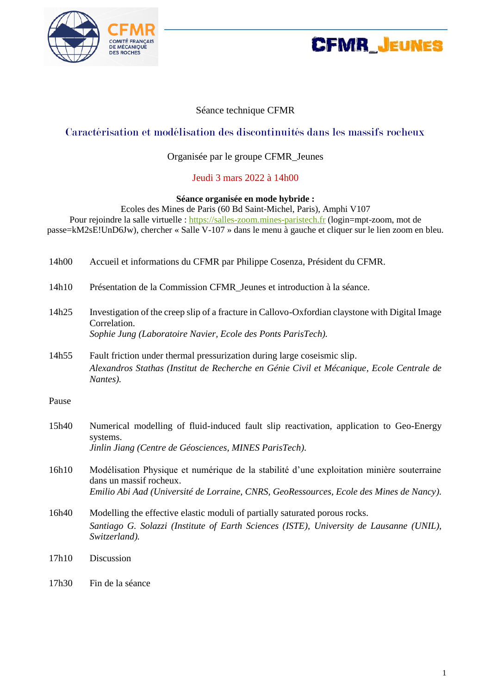



#### Séance technique CFMR

## Caractérisation et modélisation des discontinuités dans les massifs rocheux

#### Organisée par le groupe CFMR\_Jeunes

#### Jeudi 3 mars 2022 à 14h00

#### **Séance organisée en mode hybride :**

Ecoles des Mines de Paris (60 Bd Saint-Michel, Paris), Amphi V107 Pour rejoindre la salle virtuelle : [https://salles-zoom.mines-paristech.fr](https://salles-zoom.mines-paristech.fr/) (login=mpt-zoom, mot de passe=kM2sE!UnD6Jw), chercher « Salle V-107 » dans le menu à gauche et cliquer sur le lien zoom en bleu.

| 14h00 | Accueil et informations du CFMR par Philippe Cosenza, Président du CFMR. |  |
|-------|--------------------------------------------------------------------------|--|
|       |                                                                          |  |

- 14h10 Présentation de la Commission CFMR\_Jeunes et introduction à la séance.
- 14h25 Investigation of the creep slip of a fracture in Callovo-Oxfordian claystone with Digital Image Correlation. *Sophie Jung (Laboratoire Navier, Ecole des Ponts ParisTech).*
- 14h55 Fault friction under thermal pressurization during large coseismic slip. *Alexandros Stathas (Institut de Recherche en Génie Civil et Mécanique, Ecole Centrale de Nantes).*

Pause

| 15h40 | Numerical modelling of fluid-induced fault slip reactivation, application to Geo-Energy<br>systems.<br>Jinlin Jiang (Centre de Géosciences, MINES ParisTech).                                                   |
|-------|-----------------------------------------------------------------------------------------------------------------------------------------------------------------------------------------------------------------|
| 16h10 | Modélisation Physique et numérique de la stabilité d'une exploitation minière souterraine<br>dans un massif rocheux.<br>Emilio Abi Aad (Université de Lorraine, CNRS, GeoRessources, Ecole des Mines de Nancy). |
| 16h40 | Modelling the effective elastic moduli of partially saturated porous rocks.<br>Santiago G. Solazzi (Institute of Earth Sciences (ISTE), University de Lausanne (UNIL),<br>Switzerland).                         |
| 17h10 | Discussion                                                                                                                                                                                                      |

17h30 Fin de la séance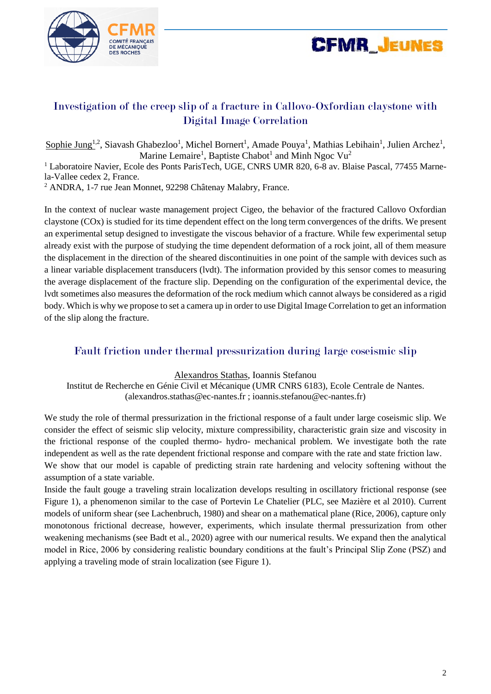



# Investigation of the creep slip of a fracture in Callovo-Oxfordian claystone with Digital Image Correlation

Sophie Jung<sup>1,2</sup>, Siavash Ghabezloo<sup>1</sup>, Michel Bornert<sup>1</sup>, Amade Pouya<sup>1</sup>, Mathias Lebihain<sup>1</sup>, Julien Archez<sup>1</sup>, Marine Lemaire<sup>1</sup>, Baptiste Chabot<sup>1</sup> and Minh Ngoc Vu<sup>2</sup>

<sup>1</sup> Laboratoire Navier, Ecole des Ponts ParisTech, UGE, CNRS UMR 820, 6-8 av. Blaise Pascal, 77455 Marnela-Vallee cedex 2, France.

<sup>2</sup> ANDRA, 1-7 rue Jean Monnet, 92298 Châtenay Malabry, France.

In the context of nuclear waste management project Cigeo, the behavior of the fractured Callovo Oxfordian claystone (COx) is studied for its time dependent effect on the long term convergences of the drifts. We present an experimental setup designed to investigate the viscous behavior of a fracture. While few experimental setup already exist with the purpose of studying the time dependent deformation of a rock joint, all of them measure the displacement in the direction of the sheared discontinuities in one point of the sample with devices such as a linear variable displacement transducers (lvdt). The information provided by this sensor comes to measuring the average displacement of the fracture slip. Depending on the configuration of the experimental device, the lvdt sometimes also measures the deformation of the rock medium which cannot always be considered as a rigid body. Which is why we propose to set a camera up in order to use Digital Image Correlation to get an information of the slip along the fracture.

## Fault friction under thermal pressurization during large coseismic slip

Alexandros Stathas, Ioannis Stefanou

Institut de Recherche en Génie Civil et Mécanique (UMR CNRS 6183), Ecole Centrale de Nantes. (alexandros.stathas@ec-nantes.fr ; ioannis.stefanou@ec-nantes.fr)

We study the role of thermal pressurization in the frictional response of a fault under large coseismic slip. We consider the effect of seismic slip velocity, mixture compressibility, characteristic grain size and viscosity in the frictional response of the coupled thermo- hydro- mechanical problem. We investigate both the rate independent as well as the rate dependent frictional response and compare with the rate and state friction law. We show that our model is capable of predicting strain rate hardening and velocity softening without the assumption of a state variable.

Inside the fault gouge a traveling strain localization develops resulting in oscillatory frictional response (see Figure 1), a phenomenon similar to the case of Portevin Le Chatelier (PLC, see Mazière et al 2010). Current models of uniform shear (see Lachenbruch, 1980) and shear on a mathematical plane (Rice, 2006), capture only monotonous frictional decrease, however, experiments, which insulate thermal pressurization from other weakening mechanisms (see Badt et al., 2020) agree with our numerical results. We expand then the analytical model in Rice, 2006 by considering realistic boundary conditions at the fault's Principal Slip Zone (PSZ) and applying a traveling mode of strain localization (see Figure 1).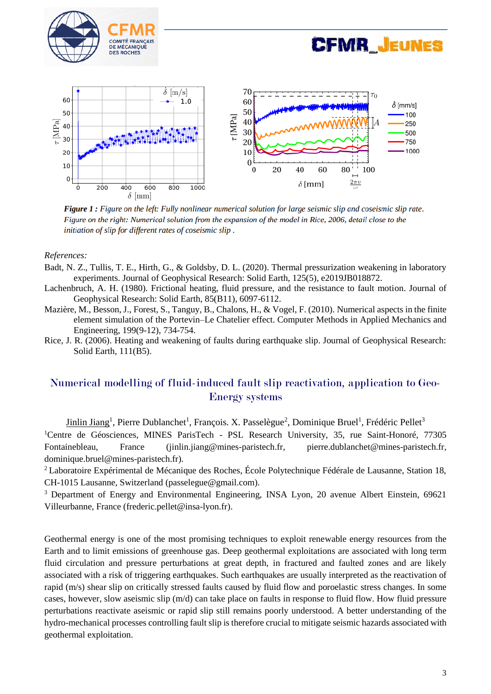





Figure 1 : Figure on the left: Fully nonlinear numerical solution for large seismic slip and coseismic slip rate. Figure on the right: Numerical solution from the expansion of the model in Rice, 2006, detail close to the initiation of slip for different rates of coseismic slip.

#### *References:*

- Badt, N. Z., Tullis, T. E., Hirth, G., & Goldsby, D. L. (2020). Thermal pressurization weakening in laboratory experiments. Journal of Geophysical Research: Solid Earth, 125(5), e2019JB018872.
- Lachenbruch, A. H. (1980). Frictional heating, fluid pressure, and the resistance to fault motion. Journal of Geophysical Research: Solid Earth, 85(B11), 6097-6112.
- Mazière, M., Besson, J., Forest, S., Tanguy, B., Chalons, H., & Vogel, F. (2010). Numerical aspects in the finite element simulation of the Portevin–Le Chatelier effect. Computer Methods in Applied Mechanics and Engineering, 199(9-12), 734-754.
- Rice, J. R. (2006). Heating and weakening of faults during earthquake slip. Journal of Geophysical Research: Solid Earth, 111(B5).

# Numerical modelling of fluid-induced fault slip reactivation, application to Geo-Energy systems

Jinlin Jiang<sup>1</sup>, Pierre Dublanchet<sup>1</sup>, François. X. Passelègue<sup>2</sup>, Dominique Bruel<sup>1</sup>, Frédéric Pellet<sup>3</sup> <sup>1</sup>Centre de Géosciences, MINES ParisTech - PSL Research University, 35, rue Saint-Honoré, 77305 Fontainebleau, France (jinlin.jiang@mines-paristech.fr, pierre.dublanchet@mines-paristech.fr, dominique.bruel@mines-paristech.fr).

<sup>2</sup>Laboratoire Expérimental de Mécanique des Roches, École Polytechnique Fédérale de Lausanne, Station 18, CH-1015 Lausanne, Switzerland (passelegue@gmail.com).

<sup>3</sup> Department of Energy and Environmental Engineering, INSA Lyon, 20 avenue Albert Einstein, 69621 Villeurbanne, France (frederic.pellet@insa-lyon.fr).

Geothermal energy is one of the most promising techniques to exploit renewable energy resources from the Earth and to limit emissions of greenhouse gas. Deep geothermal exploitations are associated with long term fluid circulation and pressure perturbations at great depth, in fractured and faulted zones and are likely associated with a risk of triggering earthquakes. Such earthquakes are usually interpreted as the reactivation of rapid (m/s) shear slip on critically stressed faults caused by fluid flow and poroelastic stress changes. In some cases, however, slow aseismic slip (m/d) can take place on faults in response to fluid flow. How fluid pressure perturbations reactivate aseismic or rapid slip still remains poorly understood. A better understanding of the hydro-mechanical processes controlling fault slip is therefore crucial to mitigate seismic hazards associated with geothermal exploitation.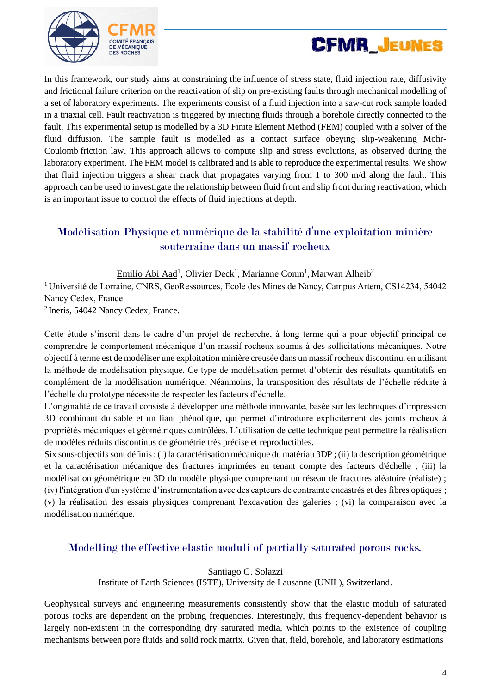



In this framework, our study aims at constraining the influence of stress state, fluid injection rate, diffusivity and frictional failure criterion on the reactivation of slip on pre-existing faults through mechanical modelling of a set of laboratory experiments. The experiments consist of a fluid injection into a saw-cut rock sample loaded in a triaxial cell. Fault reactivation is triggered by injecting fluids through a borehole directly connected to the fault. This experimental setup is modelled by a 3D Finite Element Method (FEM) coupled with a solver of the fluid diffusion. The sample fault is modelled as a contact surface obeying slip-weakening Mohr-Coulomb friction law. This approach allows to compute slip and stress evolutions, as observed during the laboratory experiment. The FEM model is calibrated and is able to reproduce the experimental results. We show that fluid injection triggers a shear crack that propagates varying from 1 to 300 m/d along the fault. This approach can be used to investigate the relationship between fluid front and slip front during reactivation, which is an important issue to control the effects of fluid injections at depth.

# Modélisation Physique et numérique de la stabilité d'une exploitation minière souterraine dans un massif rocheux

Emilio Abi Aad<sup>1</sup>, Olivier Deck<sup>1</sup>, Marianne Conin<sup>1</sup>, Marwan Alheib<sup>2</sup>

<sup>1</sup>Université de Lorraine, CNRS, GeoRessources, Ecole des Mines de Nancy, Campus Artem, CS14234, 54042 Nancy Cedex, France.

<sup>2</sup> Ineris, 54042 Nancy Cedex, France.

Cette étude s'inscrit dans le cadre d'un projet de recherche, à long terme qui a pour objectif principal de comprendre le comportement mécanique d'un massif rocheux soumis à des sollicitations mécaniques. Notre objectif à terme est de modéliser une exploitation minière creusée dans un massif rocheux discontinu, en utilisant la méthode de modélisation physique. Ce type de modélisation permet d'obtenir des résultats quantitatifs en complément de la modélisation numérique. Néanmoins, la transposition des résultats de l'échelle réduite à l'échelle du prototype nécessite de respecter les facteurs d'échelle.

L'originalité de ce travail consiste à développer une méthode innovante, basée sur les techniques d'impression 3D combinant du sable et un liant phénolique, qui permet d'introduire explicitement des joints rocheux à propriétés mécaniques et géométriques contrôlées. L'utilisation de cette technique peut permettre la réalisation de modèles réduits discontinus de géométrie très précise et reproductibles.

Six sous-objectifs sont définis : (i) la caractérisation mécanique du matériau 3DP ; (ii) la description géométrique et la caractérisation mécanique des fractures imprimées en tenant compte des facteurs d'échelle ; (iii) la modélisation géométrique en 3D du modèle physique comprenant un réseau de fractures aléatoire (réaliste) ; (iv) l'intégration d'un système d'instrumentation avec des capteurs de contrainte encastrés et des fibres optiques ; (v) la réalisation des essais physiques comprenant l'excavation des galeries ; (vi) la comparaison avec la modélisation numérique.

## Modelling the effective elastic moduli of partially saturated porous rocks.

Santiago G. Solazzi

Institute of Earth Sciences (ISTE), University de Lausanne (UNIL), Switzerland.

Geophysical surveys and engineering measurements consistently show that the elastic moduli of saturated porous rocks are dependent on the probing frequencies. Interestingly, this frequency-dependent behavior is largely non-existent in the corresponding dry saturated media, which points to the existence of coupling mechanisms between pore fluids and solid rock matrix. Given that, field, borehole, and laboratory estimations